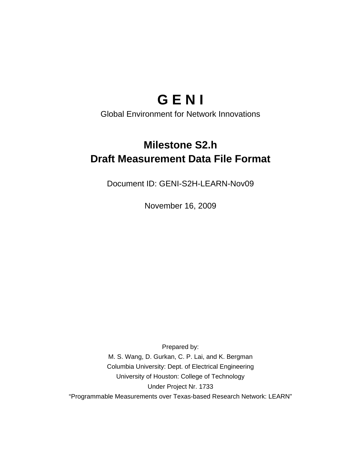# **G E N I**

Global Environment for Network Innovations

# **Milestone S2.h Draft Measurement Data File Format**

Document ID: GENI-S2H-LEARN-Nov09

November 16, 2009

Prepared by: M. S. Wang, D. Gurkan, C. P. Lai, and K. Bergman Columbia University: Dept. of Electrical Engineering University of Houston: College of Technology Under Project Nr. 1733 "Programmable Measurements over Texas-based Research Network: LEARN"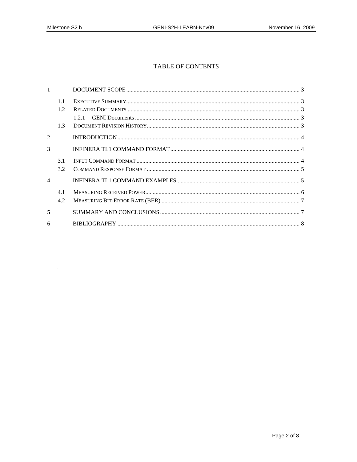## TABLE OF CONTENTS

|                | 1.1 |     |  |
|----------------|-----|-----|--|
|                | 1.2 |     |  |
|                | 1.3 | 121 |  |
|                |     |     |  |
| $\mathfrak{D}$ |     |     |  |
| 3              |     |     |  |
|                | 3.1 |     |  |
|                | 3.2 |     |  |
| $\overline{4}$ |     |     |  |
|                | 4.1 |     |  |
|                | 4.2 |     |  |
| 5              |     |     |  |
| 6              |     |     |  |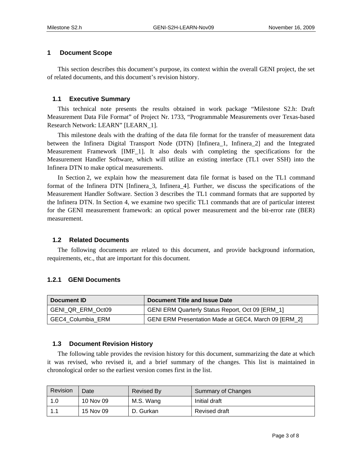#### **1 Document Scope**

This section describes this document's purpose, its context within the overall GENI project, the set of related documents, and this document's revision history.

#### **1.1 Executive Summary**

This technical note presents the results obtained in work package "Milestone S2.h: Draft Measurement Data File Format" of Project Nr. 1733, "Programmable Measurements over Texas-based Research Network: LEARN" [LEARN\_1].

This milestone deals with the drafting of the data file format for the transfer of measurement data between the Infinera Digital Transport Node (DTN) [Infinera\_1, Infinera\_2] and the Integrated Measurement Framework [IMF\_1]. It also deals with completing the specifications for the Measurement Handler Software, which will utilize an existing interface (TL1 over SSH) into the Infinera DTN to make optical measurements.

In Section 2, we explain how the measurement data file format is based on the TL1 command format of the Infinera DTN [Infinera\_3, Infinera\_4]. Further, we discuss the specifications of the Measurement Handler Software. Section 3 describes the TL1 command formats that are supported by the Infinera DTN. In Section 4, we examine two specific TL1 commands that are of particular interest for the GENI measurement framework: an optical power measurement and the bit-error rate (BER) measurement.

#### **1.2 Related Documents**

The following documents are related to this document, and provide background information, requirements, etc., that are important for this document.

#### **1.2.1 GENI Documents**

| ∖ Document ID     | Document Title and Issue Date                        |  |
|-------------------|------------------------------------------------------|--|
| GENI QR ERM Oct09 | GENI ERM Quarterly Status Report, Oct 09 [ERM_1]     |  |
| GEC4 Columbia ERM | GENI ERM Presentation Made at GEC4, March 09 [ERM_2] |  |

#### **1.3 Document Revision History**

The following table provides the revision history for this document, summarizing the date at which it was revised, who revised it, and a brief summary of the changes. This list is maintained in chronological order so the earliest version comes first in the list.

| Revision | Date      | <b>Revised By</b> | <b>Summary of Changes</b> |
|----------|-----------|-------------------|---------------------------|
| 1.0      | 10 Nov 09 | M.S. Wang         | Initial draft             |
|          | 15 Nov 09 | D. Gurkan         | <b>Revised draft</b>      |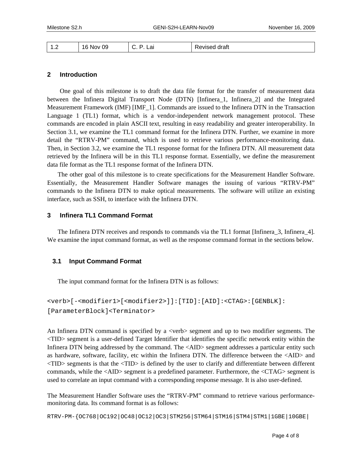| $\cdot$ | 09<br>16.<br>)V<br>w<br>$-$ | ີ່ ເ⊢ີ | uldi.<br>. |
|---------|-----------------------------|--------|------------|
|---------|-----------------------------|--------|------------|

#### **2 Introduction**

One goal of this milestone is to draft the data file format for the transfer of measurement data between the Infinera Digital Transport Node (DTN) [Infinera\_1, Infinera\_2] and the Integrated Measurement Framework (IMF) [IMF\_1]. Commands are issued to the Infinera DTN in the Transaction Language 1 (TL1) format, which is a vendor-independent network management protocol. These commands are encoded in plain ASCII text, resulting in easy readability and greater interoperability. In Section 3.1, we examine the TL1 command format for the Infinera DTN. Further, we examine in more detail the "RTRV-PM" command, which is used to retrieve various performance-monitoring data. Then, in Section 3.2, we examine the TL1 response format for the Infinera DTN. All measurement data retrieved by the Infinera will be in this TL1 response format. Essentially, we define the measurement data file format as the TL1 response format of the Infinera DTN.

The other goal of this milestone is to create specifications for the Measurement Handler Software. Essentially, the Measurement Handler Software manages the issuing of various "RTRV-PM" commands to the Infinera DTN to make optical measurements. The software will utilize an existing interface, such as SSH, to interface with the Infinera DTN.

#### **3 Infinera TL1 Command Format**

The Infinera DTN receives and responds to commands via the TL1 format [Infinera 3, Infinera 4]. We examine the input command format, as well as the response command format in the sections below.

#### **3.1 Input Command Format**

The input command format for the Infinera DTN is as follows:

```
<verb>[-<modifier1>[<modifier2>]]:[TID]:[AID]:<CTAG>:[GENBLK]: 
[ParameterBlock]<Terminator>
```
An Infinera DTN command is specified by a <verb> segment and up to two modifier segments. The <TID> segment is a user-defined Target Identifier that identifies the specific network entity within the Infinera DTN being addressed by the command. The <AID> segment addresses a particular entity such as hardware, software, facility, etc within the Infinera DTN. The difference between the <AID> and <TID> segments is that the <TID> is defined by the user to clarify and differentiate between different commands, while the <AID> segment is a predefined parameter. Furthermore, the <CTAG> segment is used to correlate an input command with a corresponding response message. It is also user-defined.

The Measurement Handler Software uses the "RTRV-PM" command to retrieve various performancemonitoring data. Its command format is as follows:

RTRV-PM-{OC768|OC192|OC48|OC12|OC3|STM256|STM64|STM16|STM4|STM1|1GBE|10GBE|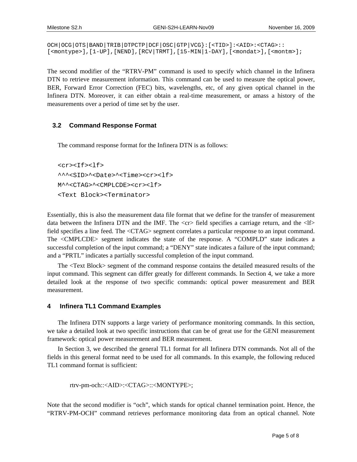```
OCH|OCG|OTS|BAND|TRIB|DTPCTP|DCF|OSC|GTP|VCG}:[<TID>]:<AID>:<CTAG>:: 
[<montype>],[1-UP],[NEND],[RCV|TRMT],[15-MIN|1-DAY],[<mondat>],[<montm>];
```
The second modifier of the "RTRV-PM" command is used to specify which channel in the Infinera DTN to retrieve measurement information. This command can be used to measure the optical power, BER, Forward Error Correction (FEC) bits, wavelengths, etc, of any given optical channel in the Infinera DTN. Moreover, it can either obtain a real-time measurement, or amass a history of the measurements over a period of time set by the user.

#### **3.2 Command Response Format**

The command response format for the Infinera DTN is as follows:

```
<sub>cr</sub><sub>tr</sub><sub>tr</sub><sub>tr</sub><sub>tr</sub><sub>tr</sub><sub>tr</sub></sub></sub></sub></sub></sub></sub></sub>
^^^<SID>^<Date>^<Time><cr><lf> 
M^^<CTAG>^<CMPLCDE><cr><lf> 
<Text Block><Terminator>
```
Essentially, this is also the measurement data file format that we define for the transfer of measurement data between the Infinera DTN and the IMF. The  $\langle$ cr $\rangle$  field specifies a carriage return, and the  $\langle$ l $\rangle$ field specifies a line feed. The <CTAG> segment correlates a particular response to an input command. The <CMPLCDE> segment indicates the state of the response. A "COMPLD" state indicates a successful completion of the input command; a "DENY" state indicates a failure of the input command; and a "PRTL" indicates a partially successful completion of the input command.

The <Text Block> segment of the command response contains the detailed measured results of the input command. This segment can differ greatly for different commands. In Section 4, we take a more detailed look at the response of two specific commands: optical power measurement and BER measurement.

#### **4 Infinera TL1 Command Examples**

The Infinera DTN supports a large variety of performance monitoring commands. In this section, we take a detailed look at two specific instructions that can be of great use for the GENI measurement framework: optical power measurement and BER measurement.

In Section 3, we described the general TL1 format for all Infinera DTN commands. Not all of the fields in this general format need to be used for all commands. In this example, the following reduced TL1 command format is sufficient:

```
 rtrv-pm-och::<AID>:<CTAG>::<MONTYPE>;
```
Note that the second modifier is "och", which stands for optical channel termination point. Hence, the "RTRV-PM-OCH" command retrieves performance monitoring data from an optical channel. Note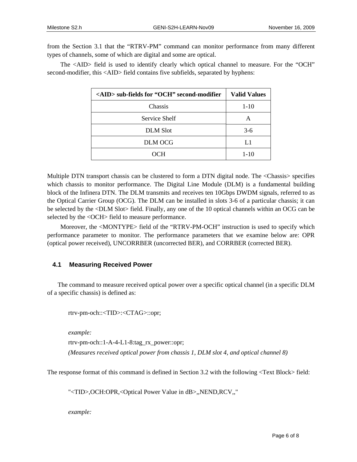from the Section 3.1 that the "RTRV-PM" command can monitor performance from many different types of channels, some of which are digital and some are optical.

The <AID> field is used to identify clearly which optical channel to measure. For the "OCH" second-modifier, this <AID> field contains five subfields, separated by hyphens:

| <aid> sub-fields for "OCH" second-modifier</aid> | <b>Valid Values</b> |
|--------------------------------------------------|---------------------|
| Chassis                                          | $1 - 10$            |
| Service Shelf                                    |                     |
| <b>DLM</b> Slot                                  | $3-6$               |
| <b>DLM OCG</b>                                   | L1                  |
| OCH                                              | $1 - 10$            |

Multiple DTN transport chassis can be clustered to form a DTN digital node. The <Chassis> specifies which chassis to monitor performance. The Digital Line Module (DLM) is a fundamental building block of the Infinera DTN. The DLM transmits and receives ten 10Gbps DWDM signals, referred to as the Optical Carrier Group (OCG). The DLM can be installed in slots 3-6 of a particular chassis; it can be selected by the <DLM Slot> field. Finally, any one of the 10 optical channels within an OCG can be selected by the <OCH> field to measure performance.

Moreover, the <MONTYPE> field of the "RTRV-PM-OCH" instruction is used to specify which performance parameter to monitor. The performance parameters that we examine below are: OPR (optical power received), UNCORRBER (uncorrected BER), and CORRBER (corrected BER).

#### **4.1 Measuring Received Power**

The command to measure received optical power over a specific optical channel (in a specific DLM of a specific chassis) is defined as:

rtrv-pm-och::<TID>:<CTAG>::opr;

*example:* 

rtrv-pm-och::1-A-4-L1-8:tag\_rx\_power::opr;

*(Measures received optical power from chassis 1, DLM slot 4, and optical channel 8)*

The response format of this command is defined in Section 3.2 with the following <Text Block> field:

"<TID>,OCH:OPR,<Optical Power Value in dB>,,NEND,RCV,,"

*example:*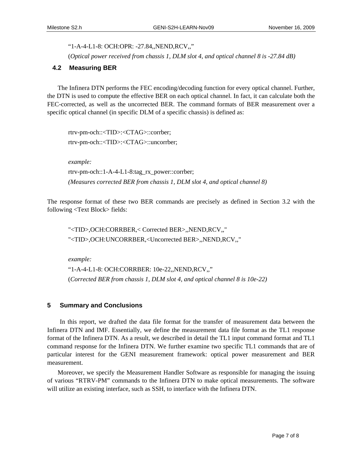"1-A-4-L1-8: OCH:OPR: -27.84,,NEND,RCV,,"

(*Optical power received from chassis 1, DLM slot 4, and optical channel 8 is -27.84 dB)*

## **4.2 Measuring BER**

The Infinera DTN performs the FEC encoding/decoding function for every optical channel. Further, the DTN is used to compute the effective BER on each optical channel. In fact, it can calculate both the FEC-corrected, as well as the uncorrected BER. The command formats of BER measurement over a specific optical channel (in specific DLM of a specific chassis) is defined as:

```
rtrv-pm-och::<TID>:<CTAG>::corrber; 
rtrv-pm-och::<TID>:<CTAG>::uncorrber; 
example: 
rtrv-pm-och::1-A-4-L1-8:tag_rx_power::corrber; 
(Measures corrected BER from chassis 1, DLM slot 4, and optical channel 8)
```
The response format of these two BER commands are precisely as defined in Section 3.2 with the following <Text Block> fields:

"<TID>,OCH:CORRBER,< Corrected BER>,,NEND,RCV,," "<TID>,OCH:UNCORRBER,<Uncorrected BER>,,NEND,RCV,,"

*example:* 

"1-A-4-L1-8: OCH:CORRBER: 10e-22,,NEND,RCV,," (*Corrected BER from chassis 1, DLM slot 4, and optical channel 8 is 10e-22)* 

#### **5 Summary and Conclusions**

In this report, we drafted the data file format for the transfer of measurement data between the Infinera DTN and IMF. Essentially, we define the measurement data file format as the TL1 response format of the Infinera DTN. As a result, we described in detail the TL1 input command format and TL1 command response for the Infinera DTN. We further examine two specific TL1 commands that are of particular interest for the GENI measurement framework: optical power measurement and BER measurement.

Moreover, we specify the Measurement Handler Software as responsible for managing the issuing of various "RTRV-PM" commands to the Infinera DTN to make optical measurements. The software will utilize an existing interface, such as SSH, to interface with the Infinera DTN.